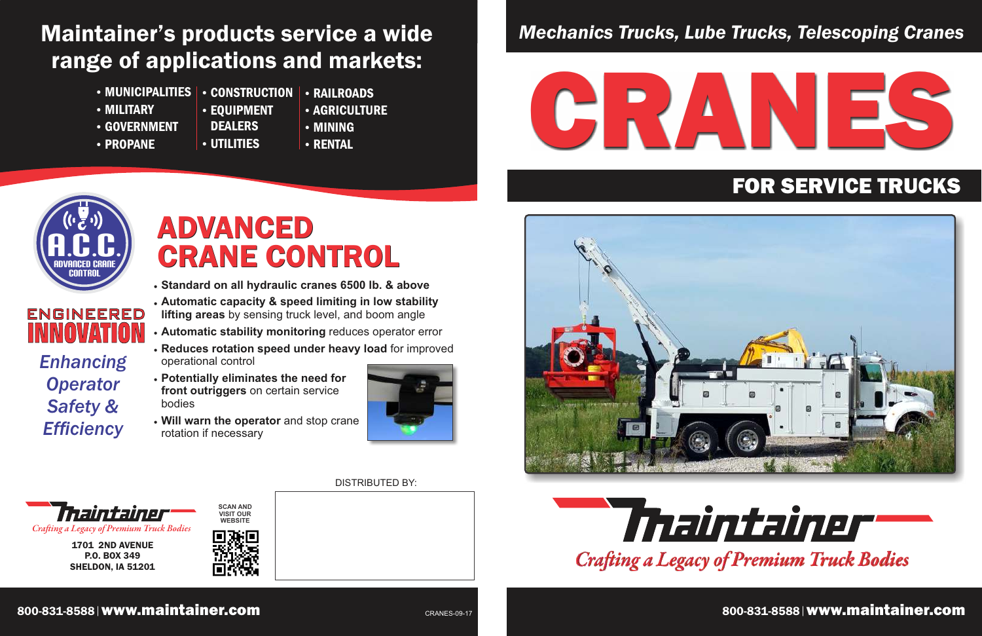# *Mechanics Trucks, Lube Trucks, Telescoping Cranes*



1701 2ND AVENUE P.O. BOX 349 SHELDON, IA 51201

*Craing a Legacy of Premium Truck Bodies*

**SCAN AND**



### 800-831-8588 www.maintainer.com 800-831-8588 www.maintainer.com



# FOR SERVICE TRUCKS

CRANES-09-17 **bis 1990-891-8988 www.maintainer.com CRANES-09-17** bis 1990-831-8588 www.maintainer.com CRANES-09-17

# Maintainer's products service a wide range of applications and markets:

- MUNICIPALITIES CONSTRUCTION
- MILITARY
- GOVERNMENT
- PROPANE
- **DEALERS**

RAILROADS

**• RENTAL** 

- UTILITIES
- **AGRICULTURE**
- MINING

# ADVANCED **CRANE CONTROL**

EQUIPMENT

DISTRIBUTED BY:





- **Standard on all hydraulic cranes 6500 lb. & above**
- **Automatic capacity & speed limiting in low stability lifting areas** by sensing truck level, and boom angle
- **Automatic stability monitoring** reduces operator error
- **Reduces rotation speed under heavy load** for improved operational control **INNOVATION**
	- **Potentially eliminates the need for front outriggers** on certain service bodies
	- **Will warn the operator** and stop crane rotation if necessary



*Enhancing*

*Operator*

*Safety &*

*Efficiency*



engineered